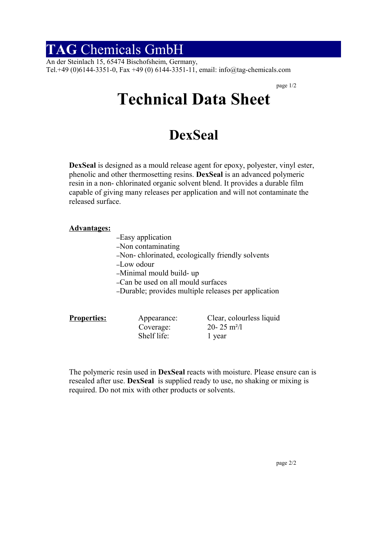### **TAG** Chemicals GmbH

An der Steinlach 15, 65474 Bischofsheim, Germany, Tel.+49 (0)6144-3351-0, Fax +49 (0) 6144-3351-11, email: info@tag-chemicals.com

page 1/2

# **Technical Data Sheet**

## **DexSeal**

**DexSeal** is designed as a mould release agent for epoxy, polyester, vinyl ester, phenolic and other thermosetting resins. **DexSeal** is an advanced polymeric resin in a non- chlorinated organic solvent blend. It provides a durable film capable of giving many releases per application and will not contaminate the released surface.

#### **Advantages:**

- –Easy application
- –Non contaminating
- –Non- chlorinated, ecologically friendly solvents
- –Low odour
- –Minimal mould build- up
- –Can be used on all mould surfaces
- –Durable; provides multiple releases per application

| rronerties |
|------------|
|            |

 Coverage: 20- 25 m²/l Shelf life: 1 year

Appearance: Clear, colourless liquid

The polymeric resin used in **DexSeal** reacts with moisture. Please ensure can is resealed after use. **DexSeal** is supplied ready to use, no shaking or mixing is required. Do not mix with other products or solvents.